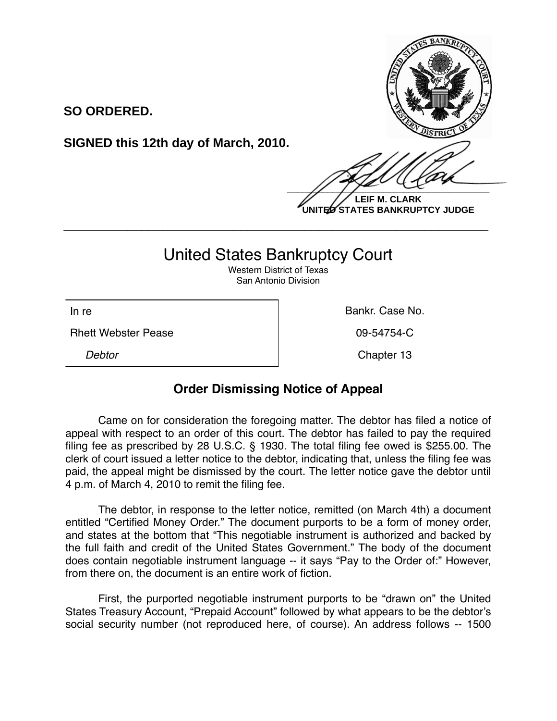

**LEIF M. CLARK UNITED STATES BANKRUPTCY JUDGE**

## United States Bankruptcy Court

**\_\_\_\_\_\_\_\_\_\_\_\_\_\_\_\_\_\_\_\_\_\_\_\_\_\_\_\_\_\_\_\_\_\_\_\_\_\_\_\_\_\_\_\_\_\_\_\_\_\_\_\_\_\_\_\_\_\_\_\_**

Western District of Texas San Antonio Division

Rhett Webster Pease **1998 1998 1998 1998 09-54754-C** 

**SO ORDERED.**

**SIGNED this 12th day of March, 2010.**

In re **Bankr.** Case No.

**Debtor** Chapter 13

## **Order Dismissing Notice of Appeal**

Came on for consideration the foregoing matter. The debtor has filed a notice of appeal with respect to an order of this court. The debtor has failed to pay the required filing fee as prescribed by 28 U.S.C. § 1930. The total filing fee owed is \$255.00. The clerk of court issued a letter notice to the debtor, indicating that, unless the filing fee was paid, the appeal might be dismissed by the court. The letter notice gave the debtor until 4 p.m. of March 4, 2010 to remit the filing fee.

The debtor, in response to the letter notice, remitted (on March 4th) a document entitled "Certified Money Order." The document purports to be a form of money order, and states at the bottom that "This negotiable instrument is authorized and backed by the full faith and credit of the United States Government." The body of the document does contain negotiable instrument language -- it says "Pay to the Order of:" However, from there on, the document is an entire work of fiction.

First, the purported negotiable instrument purports to be "drawn on" the United States Treasury Account, "Prepaid Account" followed by what appears to be the debtor's social security number (not reproduced here, of course). An address follows -- 1500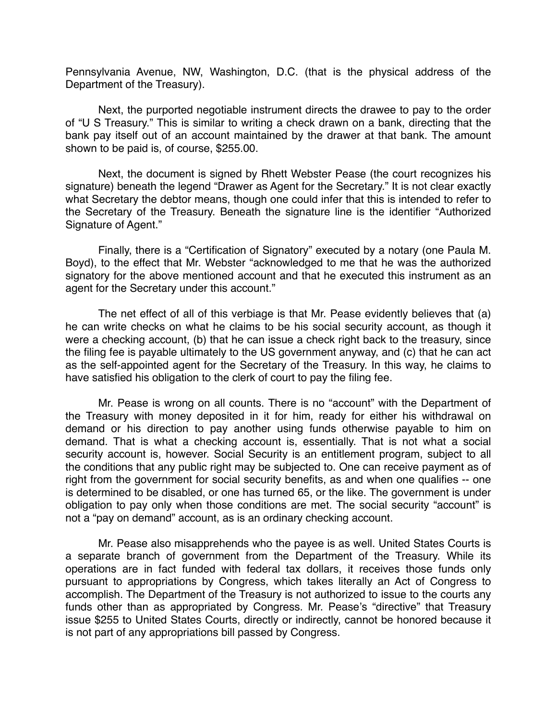Pennsylvania Avenue, NW, Washington, D.C. (that is the physical address of the Department of the Treasury).

Next, the purported negotiable instrument directs the drawee to pay to the order of "U S Treasury." This is similar to writing a check drawn on a bank, directing that the bank pay itself out of an account maintained by the drawer at that bank. The amount shown to be paid is, of course, \$255.00.

Next, the document is signed by Rhett Webster Pease (the court recognizes his signature) beneath the legend "Drawer as Agent for the Secretary." It is not clear exactly what Secretary the debtor means, though one could infer that this is intended to refer to the Secretary of the Treasury. Beneath the signature line is the identifier "Authorized Signature of Agent."

Finally, there is a "Certification of Signatory" executed by a notary (one Paula M. Boyd), to the effect that Mr. Webster "acknowledged to me that he was the authorized signatory for the above mentioned account and that he executed this instrument as an agent for the Secretary under this account."

The net effect of all of this verbiage is that Mr. Pease evidently believes that (a) he can write checks on what he claims to be his social security account, as though it were a checking account, (b) that he can issue a check right back to the treasury, since the filing fee is payable ultimately to the US government anyway, and (c) that he can act as the self-appointed agent for the Secretary of the Treasury. In this way, he claims to have satisfied his obligation to the clerk of court to pay the filing fee.

Mr. Pease is wrong on all counts. There is no "account" with the Department of the Treasury with money deposited in it for him, ready for either his withdrawal on demand or his direction to pay another using funds otherwise payable to him on demand. That is what a checking account is, essentially. That is not what a social security account is, however. Social Security is an entitlement program, subject to all the conditions that any public right may be subjected to. One can receive payment as of right from the government for social security benefits, as and when one qualifies -- one is determined to be disabled, or one has turned 65, or the like. The government is under obligation to pay only when those conditions are met. The social security "account" is not a "pay on demand" account, as is an ordinary checking account.

Mr. Pease also misapprehends who the payee is as well. United States Courts is a separate branch of government from the Department of the Treasury. While its operations are in fact funded with federal tax dollars, it receives those funds only pursuant to appropriations by Congress, which takes literally an Act of Congress to accomplish. The Department of the Treasury is not authorized to issue to the courts any funds other than as appropriated by Congress. Mr. Pease's "directive" that Treasury issue \$255 to United States Courts, directly or indirectly, cannot be honored because it is not part of any appropriations bill passed by Congress.